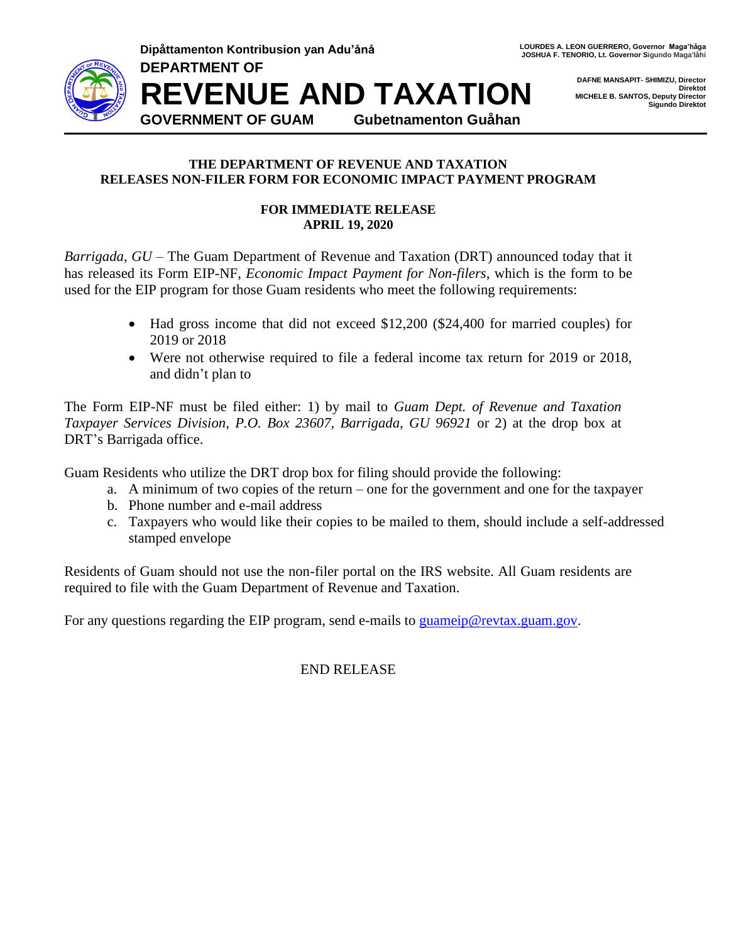

**Dipåttamenton Kontribusion yan Adu'ånå LOURDES A. LEON GUERRERO, Governor Maga'håga JOSHUA F. TENORIO, Lt. Governor Sigundo Maga'låhi** 

> **DAFNE MANSAPIT- SHIMIZU, Director Direktot MICHELE B. SANTOS, Deputy Director Sigundo Direktot**

**DEPARTMENT OF REVENUE AND TAXATION GOVERNMENT OF GUAM Gubetnamenton Guåhan**

## **THE DEPARTMENT OF REVENUE AND TAXATION RELEASES NON-FILER FORM FOR ECONOMIC IMPACT PAYMENT PROGRAM**

## **FOR IMMEDIATE RELEASE APRIL 19, 2020**

*Barrigada, GU* – The Guam Department of Revenue and Taxation (DRT) announced today that it has released its Form EIP-NF, *Economic Impact Payment for Non-filers*, which is the form to be used for the EIP program for those Guam residents who meet the following requirements:

- Had gross income that did not exceed \$12,200 (\$24,400 for married couples) for 2019 or 2018
- Were not otherwise required to file a federal income tax return for 2019 or 2018, and didn't plan to

The Form EIP-NF must be filed either: 1) by mail to *Guam Dept. of Revenue and Taxation Taxpayer Services Division, P.O. Box 23607, Barrigada, GU 96921* or 2) at the drop box at DRT's Barrigada office.

Guam Residents who utilize the DRT drop box for filing should provide the following:

- a. A minimum of two copies of the return one for the government and one for the taxpayer
- b. Phone number and e-mail address
- c. Taxpayers who would like their copies to be mailed to them, should include a self-addressed stamped envelope

Residents of Guam should not use the non-filer portal on the IRS website. All Guam residents are required to file with the Guam Department of Revenue and Taxation.

For any questions regarding the EIP program, send e-mails to [guameip@revtax.guam.gov.](mailto:guameip@revtax.guam.gov)

END RELEASE